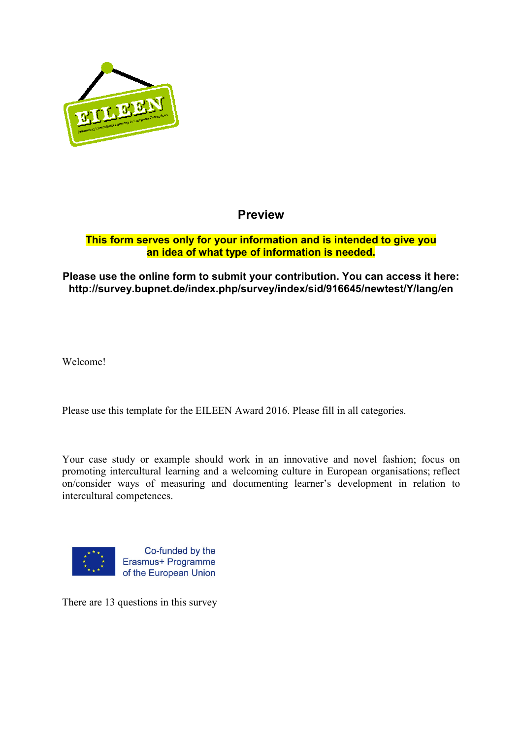

## **Preview**

#### **This form serves only for your information and is intended to give you an idea of what type of information is needed.**

#### Please use the online form to submit your contribution. You can access it here: **http://survey.bupnet.de/index.php/survey/index/sid/916645/newtest/Y/lang/en . http://survey.bupnet.de/index.php/survey/index/sid/916645/newtest/Y/lang/en**

Welcome!

Please use this template for the EILEEN Award 2016. Please fill in all categories.

Your case study or example should work in an innovative and novel fashion; focus on promoting intercultural learning and a welcoming culture in European organisations; reflect on/consider ways of measuring and documenting learner's development in relation to intercultural competences.



There are 13 questions in this survey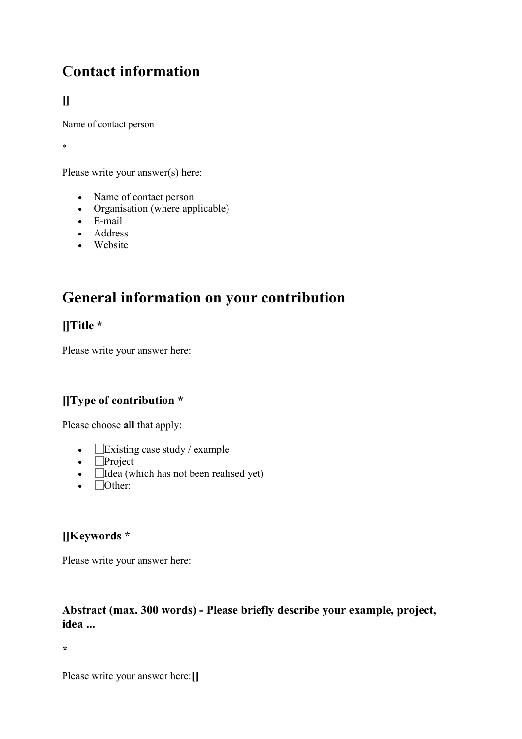# **Contact information**

# **[]**

Name of contact person

\*

Please write your answer(s) here:

- Name of contact person
- Organisation (where applicable)
- E-mail
- Address
- Website

# **General information on your contribution**

## **[]Title \***

Please write your answer here:

## **[]Type of contribution \***

Please choose **all** that apply:

- $\Box$  Existing case study / example
- **Project**
- $\bullet$  **Idea** (which has not been realised yet)
- $\bullet$   $\Box$  Other:

## **[]Keywords \***

Please write your answer here:

### **Abstract (max. 300 words) - Please briefly describe your example, project, idea ...**

**\*** 

Please write your answer here:**[]**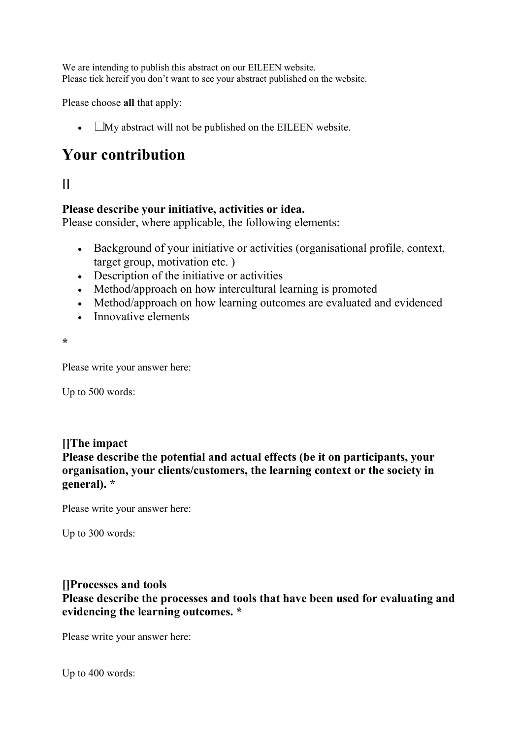We are intending to publish this abstract on our EILEEN website. Please tick hereif you don't want to see your abstract published on the website.

Please choose **all** that apply:

•  $\Box$  My abstract will not be published on the EILEEN website.

# **Your contribution**

# **[]**

### **Please describe your initiative, activities or idea.**

Please consider, where applicable, the following elements:

- Background of your initiative or activities (organisational profile, context, target group, motivation etc. )
- Description of the initiative or activities
- Method/approach on how intercultural learning is promoted
- Method/approach on how learning outcomes are evaluated and evidenced
- Innovative elements

**\*** 

Please write your answer here:

Up to 500 words:

#### **[]The impact**

**Please describe the potential and actual effects (be it on participants, your organisation, your clients/customers, the learning context or the society in general). \*** 

Please write your answer here:

Up to 300 words:

### **[]Processes and tools**

**Please describe the processes and tools that have been used for evaluating and evidencing the learning outcomes. \*** 

Please write your answer here:

Up to 400 words: